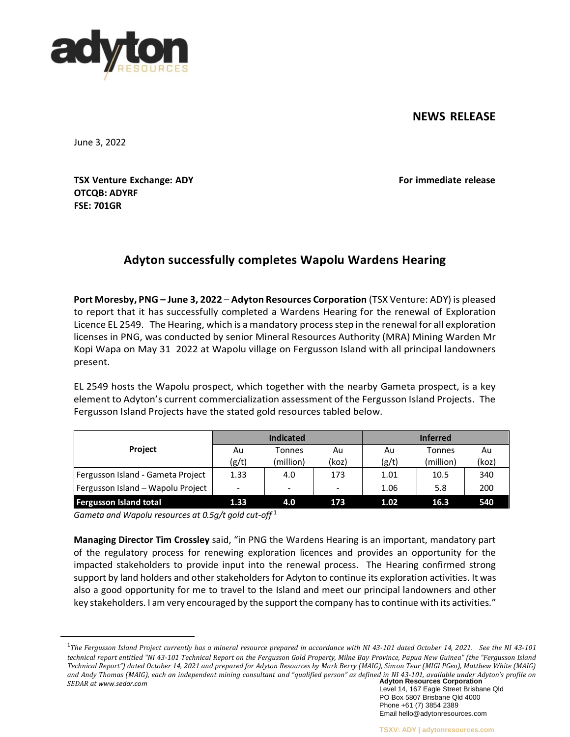## **NEWS RELEASE**



June 3, 2022

**TSX Venture Exchange: ADY For immediate release OTCQB: ADYRF FSE: 701GR**

# **Adyton successfully completes Wapolu Wardens Hearing**

**Port Moresby, PNG – June 3, 2022** – **Adyton Resources Corporation** (TSX Venture: ADY) is pleased to report that it has successfully completed a Wardens Hearing for the renewal of Exploration Licence EL 2549. The Hearing, which is a mandatory processstep in the renewal for all exploration licenses in PNG, was conducted by senior Mineral Resources Authority (MRA) Mining Warden Mr Kopi Wapa on May 31 2022 at Wapolu village on Fergusson Island with all principal landowners present.

EL 2549 hosts the Wapolu prospect, which together with the nearby Gameta prospect, is a key element to Adyton's current commercialization assessment of the Fergusson Island Projects. The Fergusson Island Projects have the stated gold resources tabled below.

| <b>Project</b>                    | <b>Indicated</b>             |           |                          | <b>Inferred</b> |           |       |
|-----------------------------------|------------------------------|-----------|--------------------------|-----------------|-----------|-------|
|                                   | Au                           | Tonnes    | Au                       | Au              | Tonnes    | Au    |
|                                   | (g/t)                        | (million) | (koz)                    | (g/t)           | (million) | (koz) |
| Fergusson Island - Gameta Project | 1.33                         | 4.0       | 173                      | 1.01            | 10.5      | 340   |
| Fergusson Island - Wapolu Project | $\qquad \qquad \blacksquare$ | -         | $\overline{\phantom{a}}$ | 1.06            | 5.8       | 200   |
| <b>Fergusson Island total</b>     | 1.33                         | 4.0       | 173                      | 1.02            | 16.3      | 540   |

*Gameta and Wapolu resources at 0.5g/t gold cut-off* <sup>1</sup>

**Managing Director Tim Crossley** said, "in PNG the Wardens Hearing is an important, mandatory part of the regulatory process for renewing exploration licences and provides an opportunity for the impacted stakeholders to provide input into the renewal process. The Hearing confirmed strong support by land holders and other stakeholders for Adyton to continue its exploration activities. It was also a good opportunity for me to travel to the Island and meet our principal landowners and other key stakeholders. I am very encouraged by the support the company has to continue with its activities."

**Adyton Resources Corporation** <sup>1</sup>The Fergusson Island Project currently has a mineral resource prepared in accordance with NI 43-101 dated October 14, 2021. See the NI 43-101 technical report entitled "NI 43-101 Technical Report on the Fergusson Gold Property, Milne Bay Province, Papua New Guinea" (the "Fergusson Island *Technical Report") dated October 14, 2021 and prepared for Adyton Resources by Mark Berry (MAIG), Simon Tear (MIGI PGeo), Matthew White (MAIG) and Andy Thomas (MAIG), each an independent mining consultant and "qualified person" as defined in NI 43-101, available under Adyton's profile on SEDAR at [www.sedar.com](http://www.sedar.com/)*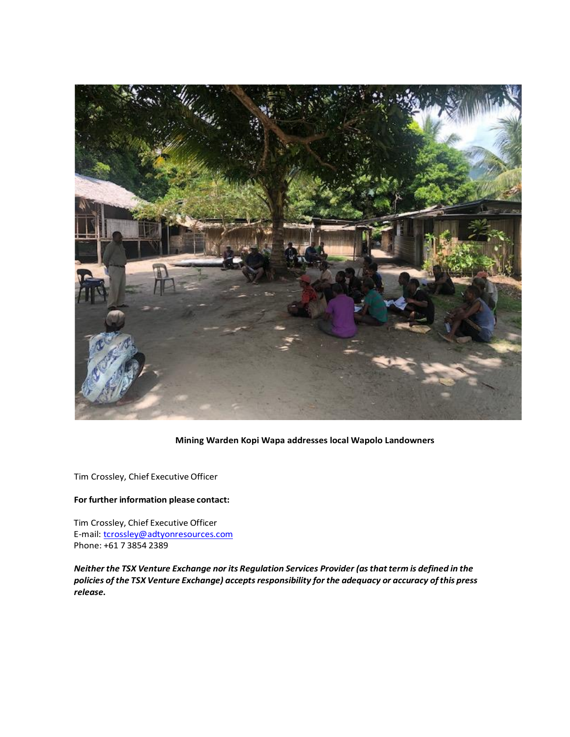

### **Mining Warden Kopi Wapa addresses local Wapolo Landowners**

Tim Crossley, Chief Executive Officer

### **For further information please contact:**

Tim Crossley, Chief Executive Officer E-mail: [tcrossley@adtyonresources.com](mailto:tcrossley@adtyonresources.com) Phone: +61 7 3854 2389

*Neither the TSX Venture Exchange nor its Regulation Services Provider (asthat term is defined in the policies of the TSX Venture Exchange) acceptsresponsibility forthe adequacy or accuracy ofthis press release.*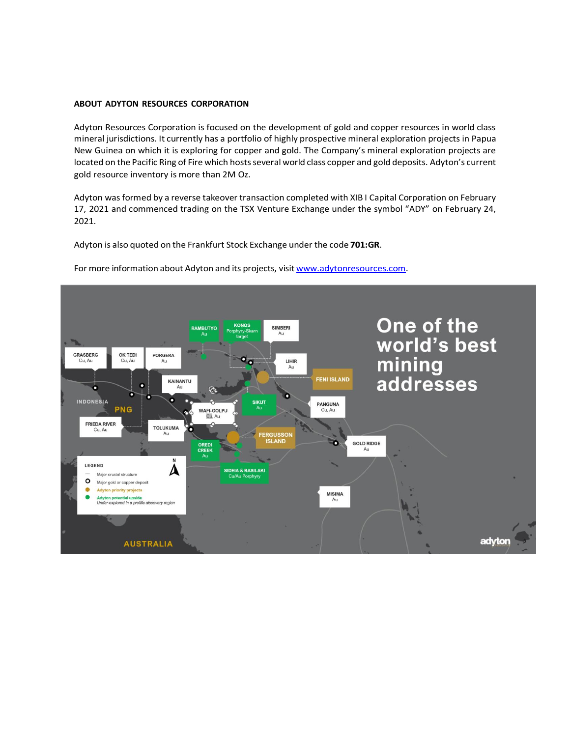#### **ABOUT ADYTON RESOURCES CORPORATION**

Adyton Resources Corporation is focused on the development of gold and copper resources in world class mineral jurisdictions. It currently has a portfolio of highly prospective mineral exploration projects in Papua New Guinea on which it is exploring for copper and gold. The Company's mineral exploration projects are located on the Pacific Ring of Fire which hosts several world class copper and gold deposits. Adyton's current gold resource inventory is more than 2M Oz.

Adyton was formed by a reverse takeover transaction completed with XIB I Capital Corporation on February 17, 2021 and commenced trading on the TSX Venture Exchange under the symbol "ADY" on February 24, 2021.

Adyton is also quoted on the Frankfurt Stock Exchange under the code **701:GR**.



For more information about Adyton and its projects, visit [www.adytonresources.com.](http://www.adytonresources.com/)